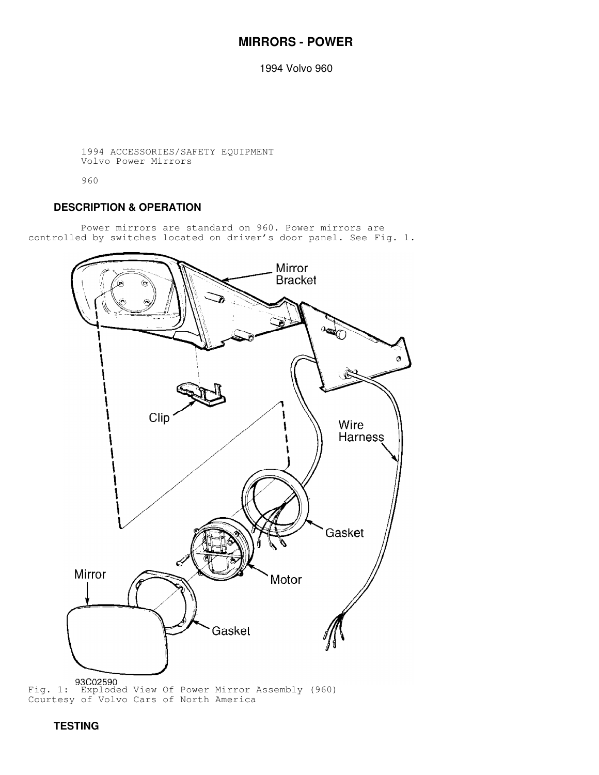# **MIRRORS - POWER**

1994 Volvo 960

 1994 ACCESSORIES/SAFETY EQUIPMENT Volvo Power Mirrors

960

## **DESCRIPTION & OPERATION**

 Power mirrors are standard on 960. Power mirrors are controlled by switches located on driver's door panel. See Fig. 1.



 **TESTING**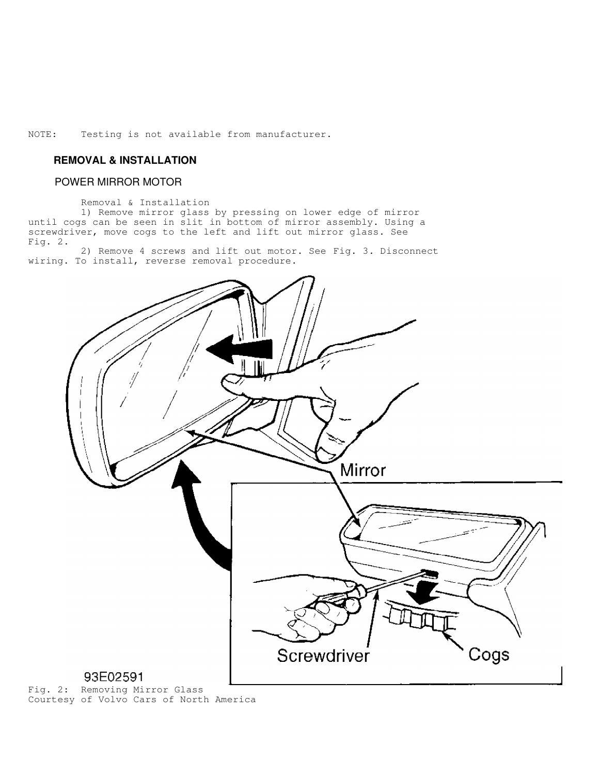NOTE: Testing is not available from manufacturer.

### **REMOVAL & INSTALLATION**

#### POWER MIRROR MOTOR

Removal & Installation

 1) Remove mirror glass by pressing on lower edge of mirror until cogs can be seen in slit in bottom of mirror assembly. Using a screwdriver, move cogs to the left and lift out mirror glass. See Fig. 2.

 2) Remove 4 screws and lift out motor. See Fig. 3. Disconnect wiring. To install, reverse removal procedure.



Fig. 2: Removing Mirror Glass Courtesy of Volvo Cars of North America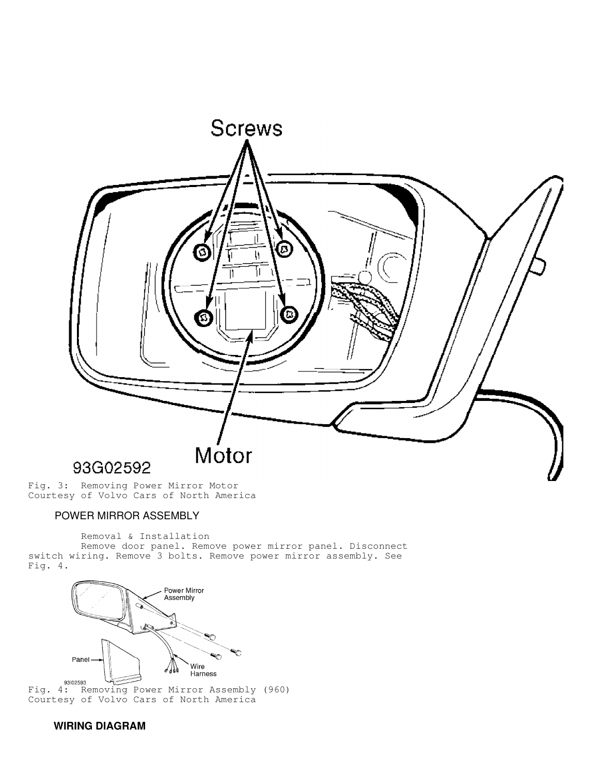

Fig. 3: Removing Power Mirror Motor Courtesy of Volvo Cars of North America

### POWER MIRROR ASSEMBLY

Removal & Installation

 Remove door panel. Remove power mirror panel. Disconnect switch wiring. Remove 3 bolts. Remove power mirror assembly. See Fig. 4.



Fig. 4: Removing Power Mirror Assembly (960) Courtesy of Volvo Cars of North America

## **WIRING DIAGRAM**